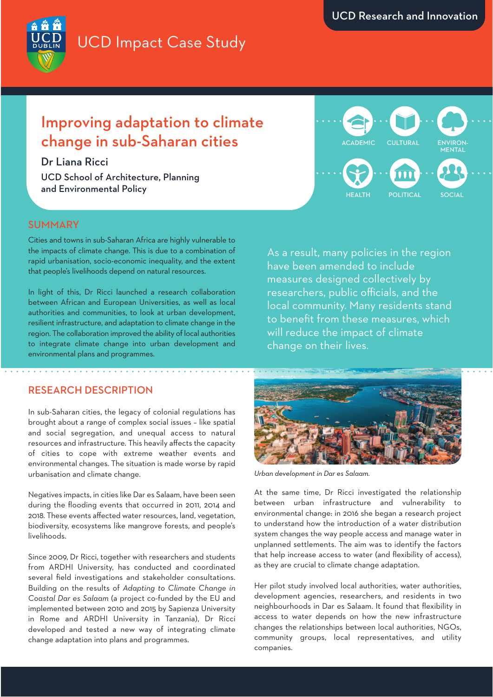# UCD Impact Case Study

## Improving adaptation to climate change in sub-Saharan cities

Dr Liana Ricci

UCD School of Architecture, Planning and Environmental Policy

Cities and towns in sub-Saharan Africa are highly vulnerable to the impacts of climate change. This is due to a combination of rapid urbanisation, socio-economic inequality, and the extent that people's livelihoods depend on natural resources.

In light of this, Dr Ricci launched a research collaboration between African and European Universities, as well as local authorities and communities, to look at urban development, resilient infrastructure, and adaptation to climate change in the region. The collaboration improved the ability of local authorities to integrate climate change into urban development and environmental plans and programmes.

### RESEARCH DESCRIPTION

In sub-Saharan cities, the legacy of colonial regulations has brought about a range of complex social issues – like spatial and social segregation, and unequal access to natural resources and infrastructure. This heavily affects the capacity of cities to cope with extreme weather events and environmental changes. The situation is made worse by rapid urbanisation and climate change.

Negatives impacts, in cities like Dar es Salaam, have been seen during the flooding events that occurred in 2011, 2014 and 2018. These events affected water resources, land, vegetation, biodiversity, ecosystems like mangrove forests, and people's livelihoods.

Since 2009, Dr Ricci, together with researchers and students from ARDHI University, has conducted and coordinated several field investigations and stakeholder consultations. Building on the results of *Adapting to Climate Change in Coastal Dar es Salaam* (a project co-funded by the EU and implemented between 2010 and 2015 by Sapienza University in Rome and ARDHI University in Tanzania), Dr Ricci developed and tested a new way of integrating climate change adaptation into plans and programmes.

As a result, many policies in the region have been amended to include measures designed collectively by researchers, public officials, and the local community. Many residents stand to benefit from these measures, which will reduce the impact of climate change on their lives.



*Urban development in Dar es Salaam.*

At the same time, Dr Ricci investigated the relationship between urban infrastructure and vulnerability to environmental change: in 2016 she began a research project to understand how the introduction of a water distribution system changes the way people access and manage water in unplanned settlements. The aim was to identify the factors that help increase access to water (and flexibility of access), as they are crucial to climate change adaptation.

Her pilot study involved local authorities, water authorities, development agencies, researchers, and residents in two neighbourhoods in Dar es Salaam. It found that flexibility in access to water depends on how the new infrastructure changes the relationships between local authorities, NGOs, community groups, local representatives, and utility companies.

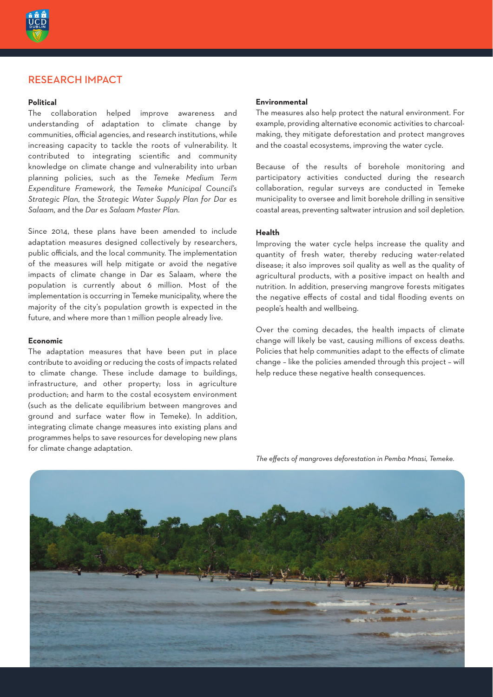

#### RESEARCH IMPACT

#### **Political**

The collaboration helped improve awareness and understanding of adaptation to climate change by communities, official agencies, and research institutions, while increasing capacity to tackle the roots of vulnerability. It contributed to integrating scientific and community knowledge on climate change and vulnerability into urban planning policies, such as the *Temeke Medium Term Expenditure Framework,* the *Temeke Municipal Council's Strategic Plan,* the *Strategic Water Supply Plan for Dar es Salaam*, and the *Dar es Salaam Master Plan*.

Since 2014, these plans have been amended to include adaptation measures designed collectively by researchers, public officials, and the local community. The implementation of the measures will help mitigate or avoid the negative impacts of climate change in Dar es Salaam, where the population is currently about 6 million. Most of the implementation is occurring in Temeke municipality, where the majority of the city's population growth is expected in the future, and where more than 1 million people already live.

#### **Economic**

The adaptation measures that have been put in place contribute to avoiding or reducing the costs of impacts related to climate change. These include damage to buildings, infrastructure, and other property; loss in agriculture production; and harm to the costal ecosystem environment (such as the delicate equilibrium between mangroves and ground and surface water flow in Temeke). In addition, integrating climate change measures into existing plans and programmes helps to save resources for developing new plans for climate change adaptation.

#### **Environmental**

The measures also help protect the natural environment. For example, providing alternative economic activities to charcoalmaking, they mitigate deforestation and protect mangroves and the coastal ecosystems, improving the water cycle.

Because of the results of borehole monitoring and participatory activities conducted during the research collaboration, regular surveys are conducted in Temeke municipality to oversee and limit borehole drilling in sensitive coastal areas, preventing saltwater intrusion and soil depletion.

#### **Health**

Improving the water cycle helps increase the quality and quantity of fresh water, thereby reducing water-related disease; it also improves soil quality as well as the quality of agricultural products, with a positive impact on health and nutrition. In addition, preserving mangrove forests mitigates the negative effects of costal and tidal flooding events on people's health and wellbeing.

Over the coming decades, the health impacts of climate change will likely be vast, causing millions of excess deaths. Policies that help communities adapt to the effects of climate change – like the policies amended through this project – will help reduce these negative health consequences.